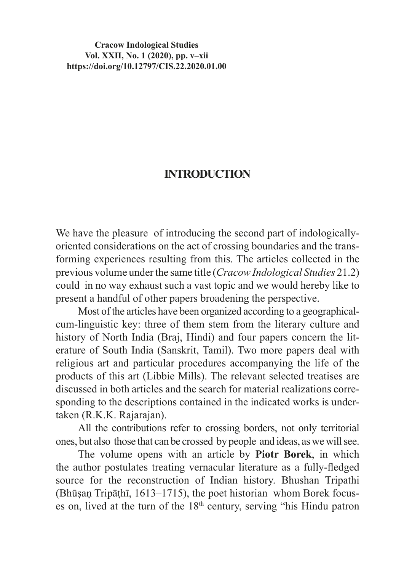## **Cracow Indological Studies Vol. XXII, No. 1 (2020), pp. v–xii https://doi.org/10.12797/CIS.22.2020.01.00**

## **INTRODUCTION**

We have the pleasure of introducing the second part of indologicallyoriented considerations on the act of crossing boundaries and the transforming experiences resulting from this. The articles collected in the previous volume under the same title (*Cracow Indological Studies* 21.2) could in no way exhaust such a vast topic and we would hereby like to present a handful of other papers broadening the perspective.

Most of the articles have been organized according to a geographicalcum-linguistic key: three of them stem from the literary culture and history of North India (Braj, Hindi) and four papers concern the literature of South India (Sanskrit, Tamil). Two more papers deal with religious art and particular procedures accompanying the life of the products of this art (Libbie Mills). The relevant selected treatises are discussed in both articles and the search for material realizations corresponding to the descriptions contained in the indicated works is undertaken (R.K.K. Rajarajan).

All the contributions refer to crossing borders, not only territorial ones, but also those that can be crossed by people and ideas, aswewill see.

The volume opens with an article by **Piotr Borek**, in which the author postulates treating vernacular literature as a fully-fledged source for the reconstruction of Indian history. Bhushan Tripathi (Bhūṣaṇ Tripāṭhī, 1613–1715), the poet historian whom Borek focuses on, lived at the turn of the  $18<sup>th</sup>$  century, serving "his Hindu patron"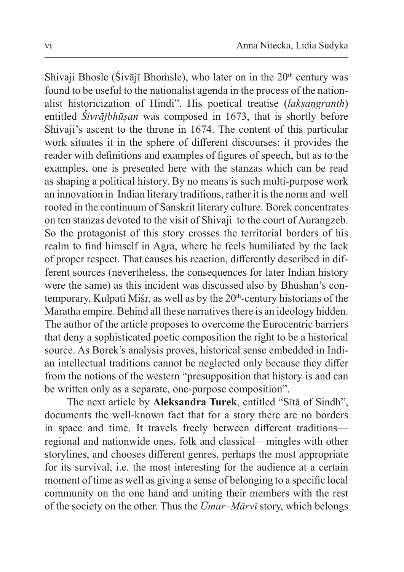Shivaji Bhosle (Śivājī Bhomsle), who later on in the 20<sup>th</sup> century was found to be useful to the nationalist agenda in the process of the nationalist historicization of Hindi". His poetical treatise (*lakṣaṇgranth*) entitled *Śivrājbhūṣan* was composed in 1673, that is shortly before Shivaji's ascent to the throne in 1674. The content of this particular work situates it in the sphere of different discourses: it provides the reader with definitions and examples of figures of speech, but as to the examples, one is presented here with the stanzas which can be read as shaping a political history. By no means is such multi-purpose work an innovation in Indian literary traditions, rather it is the norm and well rooted in the continuum of Sanskrit literary culture. Borek concentrates on ten stanzas devoted to the visit of Shivaji to the court of Aurangzeb. So the protagonist of this story crosses the territorial borders of his realm to find himself in Agra, where he feels humiliated by the lack of proper respect. That causes his reaction, differently described in different sources (nevertheless, the consequences for later Indian history were the same) as this incident was discussed also by Bhushan's contemporary, Kulpati Miśr, as well as by the  $20<sup>th</sup>$ -century historians of the Maratha empire. Behind all these narratives there is an ideology hidden. The author of the article proposes to overcome the Eurocentric barriers that deny a sophisticated poetic composition the right to be a historical source. As Borek's analysis proves, historical sense embedded in Indian intellectual traditions cannot be neglected only because they differ from the notions of the western "presupposition that history is and can be written only as a separate, one-purpose composition".

The next article by **Aleksandra Turek**, entitled "Sītā of Sindh", documents the well-known fact that for a story there are no borders in space and time. It travels freely between different traditions regional and nationwide ones, folk and classical—mingles with other storylines, and chooses different genres, perhaps the most appropriate for its survival, i.e. the most interesting for the audience at a certain moment of time as well as giving a sense of belonging to a specific local community on the one hand and uniting their members with the rest of the society on the other. Thus the *Ūmar–Mārvī* story, which belongs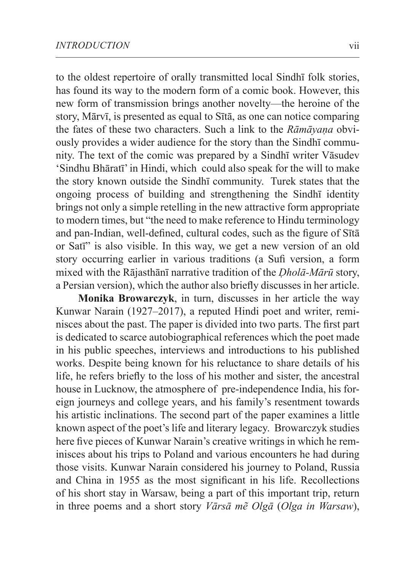to the oldest repertoire of orally transmitted local Sindhī folk stories, has found its way to the modern form of a comic book. However, this new form of transmission brings another novelty—the heroine of the story, Mārvī, is presented as equal to Sītā, as one can notice comparing the fates of these two characters. Such a link to the *Rāmāyaṇa* obviously provides a wider audience for the story than the Sindhī community. The text of the comic was prepared by a Sindhī writer Vāsudev 'Sindhu Bhāratī' in Hindi, which could also speak for the will to make the story known outside the Sindhī community. Turek states that the ongoing process of building and strengthening the Sindhī identity brings not only a simple retelling in the new attractive form appropriate to modern times, but "the need to make reference to Hindu terminology and pan-Indian, well-defined, cultural codes, such as the figure of Sītā or Satī" is also visible. In this way, we get a new version of an old story occurring earlier in various traditions (a Sufi version, a form mixed with the Rājasthānī narrative tradition of the *Ḍholā-Mārū* story, a Persian version), which the author also briefly discusses in her article.

**Monika Browarczyk**, in turn, discusses in her article the way Kunwar Narain (1927–2017), a reputed Hindi poet and writer, reminisces about the past. The paper is divided into two parts. The first part is dedicated to scarce autobiographical references which the poet made in his public speeches, interviews and introductions to his published works. Despite being known for his reluctance to share details of his life, he refers briefly to the loss of his mother and sister, the ancestral house in Lucknow, the atmosphere of pre-independence India, his foreign journeys and college years, and his family's resentment towards his artistic inclinations. The second part of the paper examines a little known aspect of the poet's life and literary legacy. Browarczyk studies here five pieces of Kunwar Narain's creative writings in which he reminisces about his trips to Poland and various encounters he had during those visits. Kunwar Narain considered his journey to Poland, Russia and China in 1955 as the most significant in his life. Recollections of his short stay in Warsaw, being a part of this important trip, return in three poems and a short story *Vārsā mẽ Olgā* (*Olga in Warsaw*),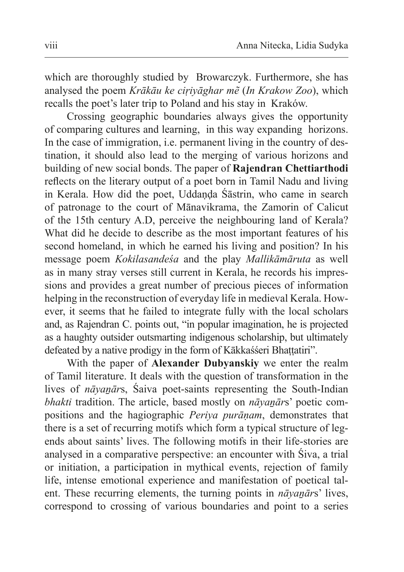which are thoroughly studied by Browarczyk. Furthermore, she has analysed the poem *Krākāu ke ciṛiyāghar mẽ* (*In Krakow Zoo*), which recalls the poet's later trip to Poland and his stay in Kraków.

Crossing geographic boundaries always gives the opportunity of comparing cultures and learning, in this way expanding horizons. In the case of immigration, i.e. permanent living in the country of destination, it should also lead to the merging of various horizons and building of new social bonds. The paper of **Rajendran Chettiarthodi** reflects on the literary output of a poet born in Tamil Nadu and living in Kerala. How did the poet, Uddanda Śāstrin, who came in search of patronage to the court of Mānavikrama, the Zamorin of Calicut of the 15th century A.D, perceive the neighbouring land of Kerala? What did he decide to describe as the most important features of his second homeland, in which he earned his living and position? In his message poem *Kokilasandeśa* and the play *Mallikāmāruta* as well as in many stray verses still current in Kerala, he records his impressions and provides a great number of precious pieces of information helping in the reconstruction of everyday life in medieval Kerala. However, it seems that he failed to integrate fully with the local scholars and, as Rajendran C. points out, "in popular imagination, he is projected as a haughty outsider outsmarting indigenous scholarship, but ultimately defeated by a native prodigy in the form of Kākkaśśeri Bhattatiri".

With the paper of **Alexander Dubyanskiy** we enter the realm of Tamil literature. It deals with the question of transformation in the lives of *nāyanārs*, Śaiva poet-saints representing the South-Indian *bhakti* tradition. The article, based mostly on *nāyaṉār*s' poetic compositions and the hagiographic *Periya purāṇam*, demonstrates that there is a set of recurring motifs which form a typical structure of legends about saints' lives. The following motifs in their life-stories are analysed in a comparative perspective: an encounter with Śiva, a trial or initiation, a participation in mythical events, rejection of family life, intense emotional experience and manifestation of poetical talent. These recurring elements, the turning points in *nāyanārs*' lives, correspond to crossing of various boundaries and point to a series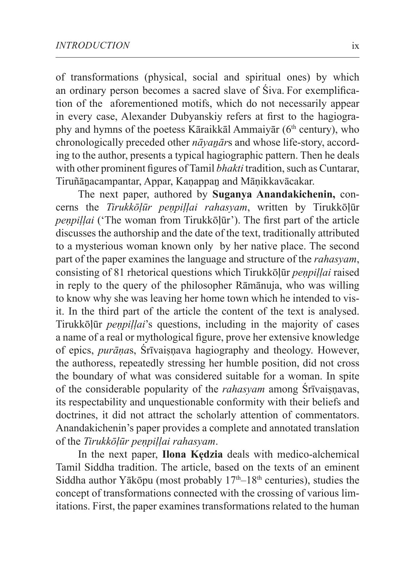of transformations (physical, social and spiritual ones) by which an ordinary person becomes a sacred slave of Śiva. For exemplification of the aforementioned motifs, which do not necessarily appear in every case, Alexander Dubyanskiy refers at first to the hagiography and hymns of the poetess Kāraikkāl Ammaiyār ( $6<sup>th</sup>$  century), who chronologically preceded other *nāyanār*s and whose life-story, according to the author, presents a typical hagiographic pattern. Then he deals with other prominent figures of Tamil *bhakti* tradition, such as Cuntarar, Tiruñānacampantar, Appar, Kanappan and Mānikkavācakar.

The next paper, authored by **Suganya Anandakichenin,** concerns the *Tirukkōḷūr peṇpiḷḷai rahasyam*, written by Tirukkōḷūr *peṇpiḷḷai* ('The woman from Tirukkōḷūr'). The first part of the article discusses the authorship and the date of the text, traditionally attributed to a mysterious woman known only by her native place. The second part of the paper examines the language and structure of the *rahasyam*, consisting of 81 rhetorical questions which Tirukkōḷūr *peṇpiḷḷai* raised in reply to the query of the philosopher Rāmānuja, who was willing to know why she was leaving her home town which he intended to visit. In the third part of the article the content of the text is analysed. Tirukkōḷūr *peṇpiḷḷai*'s questions, including in the majority of cases a name of a real or mythological figure, prove her extensive knowledge of epics, *purānas*, Śrīvaisnava hagiography and theology. However, the authoress, repeatedly stressing her humble position, did not cross the boundary of what was considered suitable for a woman. In spite of the considerable popularity of the *rahasyam* among *Śrīvaisnavas*, its respectability and unquestionable conformity with their beliefs and doctrines, it did not attract the scholarly attention of commentators. Anandakichenin's paper provides a complete and annotated translation of the *Tirukkōḷūr peṇpiḷḷai rahasyam*.

In the next paper, **Ilona Kędzia** deals with medico-alchemical Tamil Siddha tradition. The article, based on the texts of an eminent Siddha author Yākōpu (most probably  $17<sup>th</sup> - 18<sup>th</sup>$  centuries), studies the concept of transformations connected with the crossing of various limitations. First, the paper examines transformations related to the human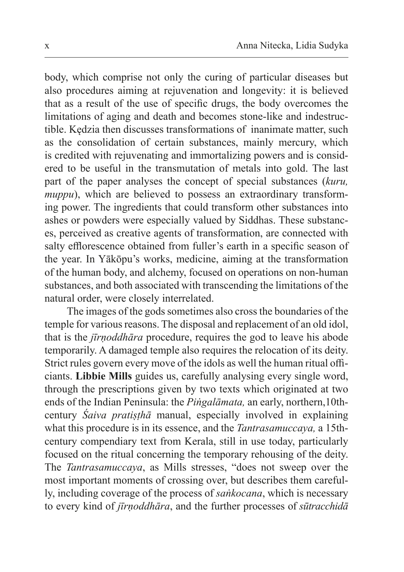body, which comprise not only the curing of particular diseases but also procedures aiming at rejuvenation and longevity: it is believed that as a result of the use of specific drugs, the body overcomes the limitations of aging and death and becomes stone-like and indestructible. Kędzia then discusses transformations of inanimate matter, such as the consolidation of certain substances, mainly mercury, which is credited with rejuvenating and immortalizing powers and is considered to be useful in the transmutation of metals into gold. The last part of the paper analyses the concept of special substances (*kuru, muppu*), which are believed to possess an extraordinary transforming power. The ingredients that could transform other substances into ashes or powders were especially valued by Siddhas. These substances, perceived as creative agents of transformation, are connected with salty efflorescence obtained from fuller's earth in a specific season of the year. In Yākōpu's works, medicine, aiming at the transformation of the human body, and alchemy, focused on operations on non-human substances, and both associated with transcending the limitations of the natural order, were closely interrelated.

The images of the gods sometimes also cross the boundaries of the temple for various reasons. The disposal and replacement of an old idol, that is the *jīrṇoddhāra* procedure, requires the god to leave his abode temporarily. A damaged temple also requires the relocation of its deity. Strict rules govern every move of the idols as well the human ritual officiants. **Libbie Mills** guides us, carefully analysing every single word, through the prescriptions given by two texts which originated at two ends of the Indian Peninsula: the *Piṅgalāmata,* an early, northern,10thcentury *Śaiva pratiṣṭhā* manual, especially involved in explaining what this procedure is in its essence, and the *Tantrasamuccaya,* a 15thcentury compendiary text from Kerala, still in use today, particularly focused on the ritual concerning the temporary rehousing of the deity. The *Tantrasamuccaya*, as Mills stresses, "does not sweep over the most important moments of crossing over, but describes them carefully, including coverage of the process of *saṅkocana*, which is necessary to every kind of *jīrṇoddhāra*, and the further processes of *sūtracchidā*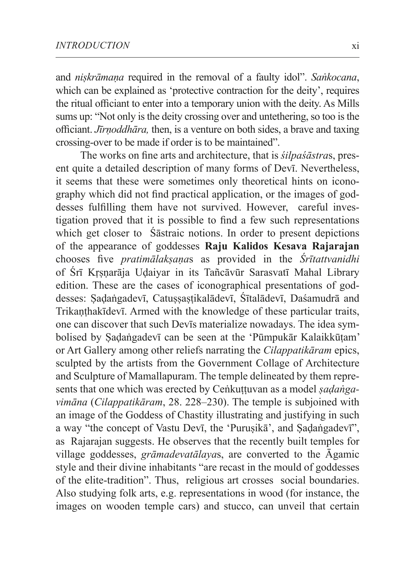and *niṣkrāmaṇa* required in the removal of a faulty idol". *Saṅkocana*, which can be explained as 'protective contraction for the deity', requires the ritual officiant to enter into a temporary union with the deity. As Mills sums up: "Not only is the deity crossing over and untethering, so too is the officiant. *Jīrṇoddhāra,* then, is a venture on both sides, a brave and taxing crossing-over to be made if order is to be maintained".

 The works on fine arts and architecture, that is *śilpaśāstra*s, present quite a detailed description of many forms of Devī. Nevertheless, it seems that these were sometimes only theoretical hints on iconography which did not find practical application, or the images of goddesses fulfilling them have not survived. However, careful investigation proved that it is possible to find a few such representations which get closer to **Ś**āstraic notions. In order to present depictions of the appearance of goddesses **Raju Kalidos Kesava Rajarajan** chooses five *pratimālakṣaṇa*s as provided in the *Śrītattvanidhi* of Śrī Kṛṣṇarāja Uḍaiyar in its Tañcāvūr Sarasvatī Mahal Library edition. These are the cases of iconographical presentations of goddesses: Sadaṅgadevī, Catussastikalādevī, Śītalādevī, Daśamudrā and Trikanthakīdevī. Armed with the knowledge of these particular traits, one can discover that such Devīs materialize nowadays. The idea symbolised by Ṣaḍaṅgadevī can be seen at the 'Pūmpukār Kalaikkūṭam' or Art Gallery among other reliefs narrating the *Cilappatikāram* epics, sculpted by the artists from the Government Collage of Architecture and Sculpture of Mamallapuram. The temple delineated by them represents that one which was erected by Ceṅkuṭṭuvan as a model *ṣaḍaṅgavimāna* (*Cilappatikāram*, 28. 228–230). The temple is subjoined with an image of the Goddess of Chastity illustrating and justifying in such a way "the concept of Vastu Devī, the 'Purusikā', and Sadaṅgadevī", as Rajarajan suggests. He observes that the recently built temples for village goddesses, *grāmadevatālaya*s, are converted to the Āgamic style and their divine inhabitants "are recast in the mould of goddesses of the elite-tradition". Thus, religious art crosses social boundaries. Also studying folk arts, e.g. representations in wood (for instance, the images on wooden temple cars) and stucco, can unveil that certain